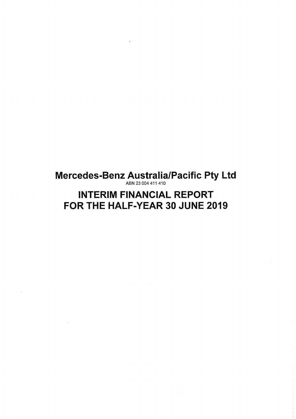Mercedes-Benz Australia/Pacific Pty Ltd ABN 23 004 411410

÷

# INTERIM FINANCIAL REPORT FOR THE HALF-YEAR 30 JUNE 2019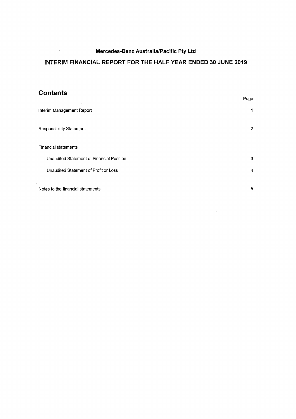# **INTERIM FINANCIAL REPORT FOR THE HALF YEAR ENDED 30 JUNE 2019**

# **Contents**

 $\sim 3$ 

|                                           | Page |
|-------------------------------------------|------|
| Interim Management Report                 | 1    |
| <b>Responsibility Statement</b>           | 2    |
| <b>Financial statements</b>               |      |
| Unaudited Statement of Financial Position | 3    |
| Unaudited Statement of Profit or Loss     | 4    |
| Notes to the financial statements         | 5    |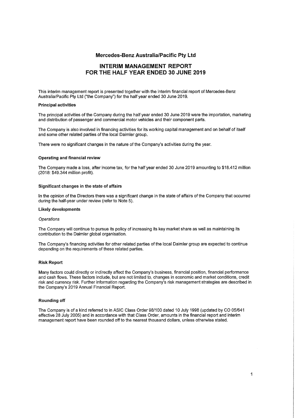# **INTERIM MANAGEMENT REPORT FOR THE HALF YEAR ENDED 30 JUNE 2019**

This interim management report is presented together with the interim financial report of Mercedes-Benz Australia/Pacific Pty Ltd ("the Company") for the half year ended 30 June 2019.

#### **Principal activities**

The principal activities of the Company during the half year ended 30 June 2019 were the importation, marketing and distribution of passenger and commercial motor vehicles and their component parts.

The Company is also involved in financing activities for its working capital management and on behalf of itself and some other related parties of the local Daimler group.

There were no significant changes in the nature of the Company's activities during the year.

#### **Operating and financial review**

The Company made a loss, after income tax, for the half year ended 30 June 2019 amounting to \$18.412 million (2018: \$49.344 million profit).

#### **Significant changes in the state of affairs**

In the opinion of the Directors there was a significant change in the state of affairs of the Company that occurred during the half-year under review (refer to Note 5).

#### **Likely developments**

#### **Operations**

The Company will continue to pursue its policy of increasing its key market share as well as maintaining its contribution to the Daimler global organisation.

The Company's financing activities for other related parties of the local Daimler group are expected to continue depending on the requirements of these related parties.

#### **Risk Report**

Many factors could directly or indirectly affect the Company's business, financial position, financial performance and cash flows. These factors include, but are not limited to, changes in economic and market conditions, credit risk and currency risk. Further information regarding the Company's risk management strategies are described in the Company's 2019 Annual Financial Report.

#### **Rounding off**

The Company is of a kind referred to in ASIC Class Order 98/100 dated 10 July 1998 (updated by CO 05/641 effective 28 July 2005) and in accordance with that Class Order, amounts in the financial report and interim management report have been rounded off to the nearest thousand dollars, unless otherwise stated.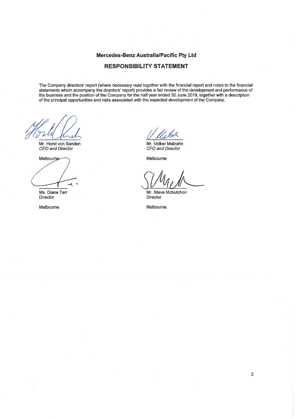# **RESPONSIBILITY STATEMENT**

The Company directors' report (where necessary read together with the financial report and notes to the financial statements which accompany the directors' report) provides a fair review of the development and performance of the business and the position of the Company for the half year ended 30 June 2019, together with a description of the principal opportunities and risks associated with the expected development of the Company.

Mr. Horst von Sanden CEO and Director

**Melbourne-**

Ms. Diane Tarr **Director** 

Melbourne

1. ULL-<br>Mr. Volker Malzahn

Mr. Volker Malzahn CFO and Director

Melbourne

Mr. Steve Mchutchon **Director** 

Melbourne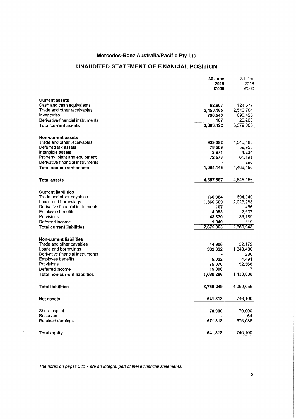# **UNAUDITED STATEMENT OF FINANCIAL POSITION**

|                                  | 30 June   | 31 Dec    |
|----------------------------------|-----------|-----------|
|                                  | 2019      | 2018      |
|                                  | \$'000    | \$'000    |
| <b>Current assets</b>            |           |           |
| Cash and cash equivalents        | 62,607    | 124,677   |
| Trade and other receivables      | 2,450,165 | 2,540,704 |
| Inventories                      | 790,543   | 693,425   |
| Derivative financial instruments | 107       | 20,200    |
| <b>Total current assets</b>      | 3,303,422 | 3,379,006 |
|                                  |           |           |
| <b>Non-current assets</b>        |           |           |
| Trade and other receivables      | 939,392   | 1,340,480 |
| Deferred tax assets              | 78,509    | 59,955    |
| Intangible assets                | 3,671     | 4,234     |
| Property, plant and equipment    | 72,573    | 61,191    |
| Derivative financial instruments |           | 290       |
| <b>Total non-current assets</b>  | 1,094,145 | 1,466,150 |
|                                  |           |           |
| <b>Total assets</b>              | 4,397,567 | 4,845,156 |
| <b>Current liabilities</b>       |           |           |
| Trade and other payables         | 760,384   | 604,949   |
| Loans and borrowings             | 1,860,609 | 2,023,988 |
| Derivative financial instruments | 107       | 466       |
| <b>Employee benefits</b>         | 4,053     | 2,637     |
| Provisions                       | 48,870    | 36,189    |
| Deferred income                  | 1,940     | 819       |
| <b>Total current liabilities</b> | 2,675,963 | 2,669,048 |
|                                  |           |           |
| <b>Non-current liabilities</b>   |           |           |
| Trade and other payables         | 44,906    | 32,172    |
| Loans and borrowings             | 939,392   | 1,340,480 |
| Derivative financial instruments |           | 290       |
| <b>Employee benefits</b>         | 5,022     | 4,491     |
| Provisions                       | 75,870    | 52,568    |
| Deferred income                  | 15,096    |           |
| Total non-current liabilities    | 1,080,286 | 1,430,008 |
| <b>Total liabilities</b>         | 3,756,249 | 4,099,056 |
|                                  |           |           |
| <b>Net assets</b>                | 641,318   | 746,100   |
| Share capital                    | 70,000    | 70,000    |
| Reserves                         |           | 64        |
| Retained earnings                | 571,318   | 676,036   |
|                                  |           |           |
| <b>Total equity</b>              | 641,318   | 746,100   |
|                                  |           |           |

The notes on pages 5 to 7 are an integral part of these financial statements.

 $\mathcal{L}$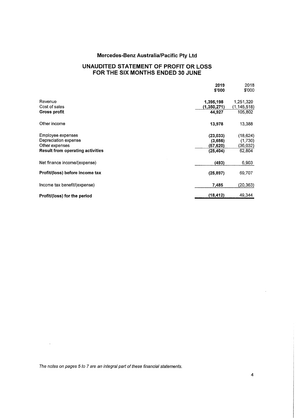# **UNAUDITED STATEMENT OF PROFIT OR LOSS FOR THE SIX MONTHS ENDED 30 JUNE**

|                                         | 2019<br>\$'000 | 2018<br>\$'000 |
|-----------------------------------------|----------------|----------------|
| Revenue                                 | 1,395,198      | 1,251,320      |
| Cost of sales                           | (1,350,271)    | (1, 145, 518)  |
| Gross profit                            | 44,927         | 105,802        |
| Other income                            | 13,978         | 13,388         |
| <b>Employee expenses</b>                | (23, 033)      | (18, 624)      |
| Depreciation expense                    | (3,656)        | (1,730)        |
| Other expenses                          | (57,620)       | (36,032)       |
| <b>Result from operating activities</b> | (25, 404)      | 62,804         |
| Net finance income/(expense)            | (493)          | 6,903          |
| Profit/(loss) before income tax         | (25, 897)      | 69,707         |
| Income tax benefit/(expense)            | 7,485          | (20, 363)      |
| Profit/(loss) for the period            | (18, 412)      | 49,344         |

The notes on pages 5 to 7 are an integral part of these financial statements.

 $\mathcal{A}^{\text{max}}_{\text{max}}$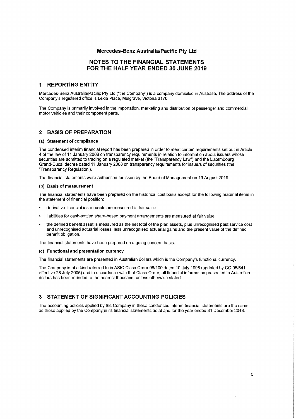## **NOTES TO THE FINANCIAL STATEMENTS FOR THE HALF YEAR ENDED 30 JUNE 2019**

## **1 REPORTING ENTITY**

Mercedes-Benz Australia/Pacific Pty Ltd ("the Company") is a company domiciled in Australia. The address of the Company's registered office is Lexia Place, Mulgrave, Victoria 3170.

The Company is primarily involved in the importation, marketing and distribution of passenger and commercial motor vehicles and their component parts.

### **2 BASIS OF PREPARATION**

#### **(a) Statement of compliance**

The condensed interim financial report has been prepared in order to meet certain requirements set out in Article 4 of the law of 11 January 2008 on transparency requirements in relation to information about issuers whose securities are admitted to trading on a regulated market (the "Transparency Law") and the Luxembourg Grand-Ducal decree dated 11 January 2008 on transparency requirements for issuers of securities (the "Transparency Regulation').

The financial statements were authorised for issue by the Board of Management on 19 August 2019.

#### **(b) Basis of measurement**

The financial statements have been prepared on the historical cost basis except for the following material items in the statement of financial position:

- derivative financial instruments are measured at fair value
- liabilities for cash-settled share-based payment arrangements are measured at fair value
- the defined benefit asset is measured as the net total of the plan assets, plus unrecognised past service cost and unrecognised actuarial losses, less unrecognised actuarial gains and the present value of the defined benefit obligation.

The financial statements have been prepared on a going concern basis.

#### **(c) Functional and presentation currency**

The financial statements are presented in Australian dollars which is the Company's functional currency.

The Company is of a kind referred to in ASIC Class Order 98/100 dated 10 July 1998 (updated by CO 05/641 effective 28 July 2005) and in accordance with that Class Order, all financial information presented in Australian dollars has been rounded to the nearest thousand, unless otherwise stated.

## **3 STATEMENT OF SIGNIFICANT ACCOUNTING POLICIES**

The accounting policies applied by the Company in these condensed interim financial statements are the same as those applied by the Company in its financial statements as at and for the year ended 31 December 2018.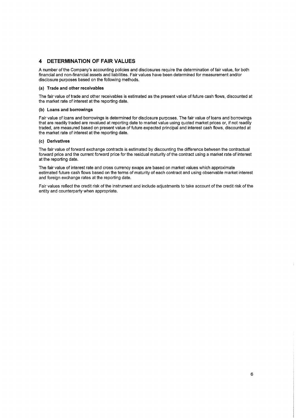## **4 DETERMINATION OF FAIR VALUES**

A number of the Company's accounting policies and disclosures require the determination of fair value, for both financial and non-financial assets and liabilities. Fair values have been determined for measurement and/or disclosure purposes based on the following methods.

### **(a) Trade and other receivables**

The fair value of trade and other receivables is estimated as the present value of future cash flows, discounted at the market rate of interest at the reporting date.

## **(b) Loans and borrowings**

Fair value of loans and borrowings is determined for disclosure purposes. The fair value of loans and borrowings that are readily traded are revalued at reporting date to market value using quoted market prices or, if not readily traded, are measured based on present value of future expected principal and interest cash flows, discounted at the market rate of interest at the reporting date.

## **(c) Derivatives**

The fair value of forward exchange contracts is estimated by discounting the difference between the contractual forward price and the current forward price for the residual maturity of the contract using a market rate of interest at the reporting date.

The fair value of interest rate and cross currency swaps are based on market values which approximate estimated future cash flows based on the terms of maturity of each contract and using observable market interest and foreign exchange rates at the reporting date.

Fair values reflect the credit risk of the instrument and include adjustments to take account of the credit risk of the entity and counterparty when appropriate.